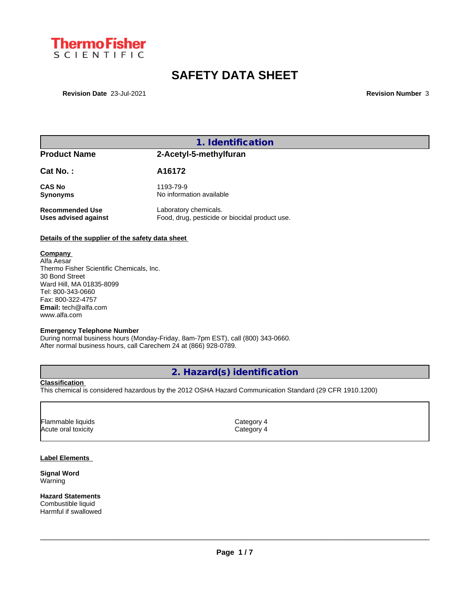

# **SAFETY DATA SHEET**

**Revision Date** 23-Jul-2021 **Revision Number** 3

# **1. Identification**

# **Product Name 2-Acetyl-5-methylfuran**

# **Cat No. : A16172**

**Synonyms** No information available

**CAS No** 1193-79-9

**Recommended Use** Laboratory chemicals.<br> **Uses advised against** Food, drug, pesticide of Food, drug, pesticide or biocidal product use.

# **Details of the supplier of the safety data sheet**

## **Company**

Alfa Aesar Thermo Fisher Scientific Chemicals, Inc. 30 Bond Street Ward Hill, MA 01835-8099 Tel: 800-343-0660 Fax: 800-322-4757 **Email:** tech@alfa.com www.alfa.com

### **Emergency Telephone Number**

During normal business hours (Monday-Friday, 8am-7pm EST), call (800) 343-0660. After normal business hours, call Carechem 24 at (866) 928-0789.

# **2. Hazard(s) identification**

### **Classification**

This chemical is considered hazardous by the 2012 OSHA Hazard Communication Standard (29 CFR 1910.1200)

| Flammable liquids   | Category 4 |
|---------------------|------------|
| Acute oral toxicity | Category 4 |
|                     |            |

### **Label Elements**

**Signal Word** Warning

**Hazard Statements** Combustible liquid Harmful if swallowed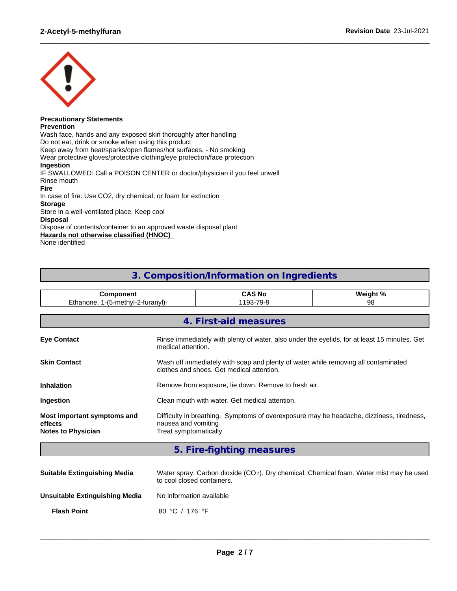

#### **Precautionary Statements Prevention**

Wash face, hands and any exposed skin thoroughly after handling Do not eat, drink or smoke when using this product Keep away from heat/sparks/open flames/hot surfaces. - No smoking Wear protective gloves/protective clothing/eye protection/face protection **Ingestion** IF SWALLOWED: Call a POISON CENTER or doctor/physician if you feel unwell Rinse mouth **Fire** In case of fire: Use CO2, dry chemical, or foam for extinction **Storage** Store in a well-ventilated place. Keep cool **Disposal** Dispose of contents/container to an approved waste disposal plant **Hazards not otherwise classified (HNOC)** None identified

# **3. Composition/Information on Ingredients**

 $\_$  ,  $\_$  ,  $\_$  ,  $\_$  ,  $\_$  ,  $\_$  ,  $\_$  ,  $\_$  ,  $\_$  ,  $\_$  ,  $\_$  ,  $\_$  ,  $\_$  ,  $\_$  ,  $\_$  ,  $\_$  ,  $\_$  ,  $\_$  ,  $\_$  ,  $\_$  ,  $\_$  ,  $\_$  ,  $\_$  ,  $\_$  ,  $\_$  ,  $\_$  ,  $\_$  ,  $\_$  ,  $\_$  ,  $\_$  ,  $\_$  ,  $\_$  ,  $\_$  ,  $\_$  ,  $\_$  ,  $\_$  ,  $\_$  ,

| Component                                                           |                                                                                                                                          | <b>CAS No</b>                                                                                                      | Weight % |  |  |  |  |
|---------------------------------------------------------------------|------------------------------------------------------------------------------------------------------------------------------------------|--------------------------------------------------------------------------------------------------------------------|----------|--|--|--|--|
| Ethanone, 1-(5-methyl-2-furanyl)-                                   |                                                                                                                                          | 1193-79-9                                                                                                          | 98       |  |  |  |  |
|                                                                     |                                                                                                                                          |                                                                                                                    |          |  |  |  |  |
|                                                                     |                                                                                                                                          | 4. First-aid measures                                                                                              |          |  |  |  |  |
| <b>Eye Contact</b>                                                  |                                                                                                                                          | Rinse immediately with plenty of water, also under the eyelids, for at least 15 minutes. Get<br>medical attention. |          |  |  |  |  |
| <b>Skin Contact</b>                                                 | Wash off immediately with soap and plenty of water while removing all contaminated<br>clothes and shoes. Get medical attention.          |                                                                                                                    |          |  |  |  |  |
| <b>Inhalation</b>                                                   | Remove from exposure, lie down. Remove to fresh air.                                                                                     |                                                                                                                    |          |  |  |  |  |
| Ingestion                                                           | Clean mouth with water. Get medical attention.                                                                                           |                                                                                                                    |          |  |  |  |  |
| Most important symptoms and<br>effects<br><b>Notes to Physician</b> | Difficulty in breathing. Symptoms of overexposure may be headache, dizziness, tiredness,<br>nausea and vomiting<br>Treat symptomatically |                                                                                                                    |          |  |  |  |  |

# **5. Fire-fighting measures**

| <b>Suitable Extinguishing Media</b> | Water spray. Carbon dioxide (CO <sub>2</sub> ). Dry chemical. Chemical foam. Water mist may be used<br>to cool closed containers. |
|-------------------------------------|-----------------------------------------------------------------------------------------------------------------------------------|
| Unsuitable Extinguishing Media      | No information available                                                                                                          |
| <b>Flash Point</b>                  | 80 °C / 176 °F                                                                                                                    |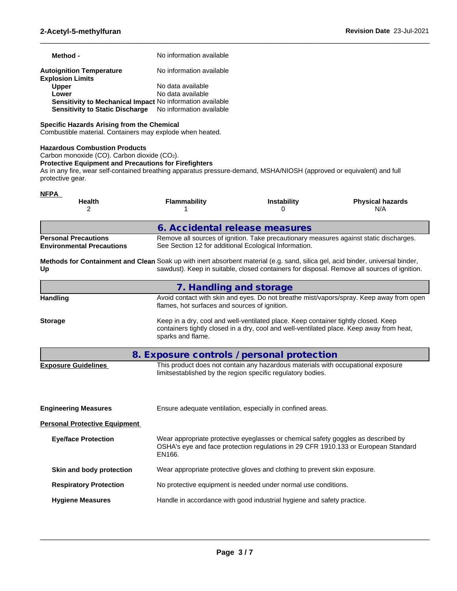| Method -                                                   | No information available |
|------------------------------------------------------------|--------------------------|
| <b>Autoignition Temperature</b><br><b>Explosion Limits</b> | No information available |
| <b>Upper</b>                                               | No data available        |
| Lower                                                      | No data available        |
| Sensitivity to Mechanical Impact No information available  |                          |
| Sensitivity to Static Discharge No information available   |                          |

## **Specific Hazards Arising from the Chemical**

Combustible material. Containers may explode when heated.

## **Hazardous Combustion Products**

```
Carbon monoxide (CO). Carbon dioxide (CO2).
```
## **Protective Equipment and Precautions for Firefighters**

As in any fire, wear self-contained breathing apparatus pressure-demand, MSHA/NIOSH (approved or equivalent) and full protective gear.

 $\_$  ,  $\_$  ,  $\_$  ,  $\_$  ,  $\_$  ,  $\_$  ,  $\_$  ,  $\_$  ,  $\_$  ,  $\_$  ,  $\_$  ,  $\_$  ,  $\_$  ,  $\_$  ,  $\_$  ,  $\_$  ,  $\_$  ,  $\_$  ,  $\_$  ,  $\_$  ,  $\_$  ,  $\_$  ,  $\_$  ,  $\_$  ,  $\_$  ,  $\_$  ,  $\_$  ,  $\_$  ,  $\_$  ,  $\_$  ,  $\_$  ,  $\_$  ,  $\_$  ,  $\_$  ,  $\_$  ,  $\_$  ,  $\_$  ,

| <b>NFPA</b>                                                                                                                          |                                                       |                                                                                                                                                                                |                                                                                             |
|--------------------------------------------------------------------------------------------------------------------------------------|-------------------------------------------------------|--------------------------------------------------------------------------------------------------------------------------------------------------------------------------------|---------------------------------------------------------------------------------------------|
| <b>Health</b><br>2                                                                                                                   | <b>Flammability</b>                                   | <b>Instability</b><br>0                                                                                                                                                        | <b>Physical hazards</b><br>N/A                                                              |
|                                                                                                                                      | 6. Accidental release measures                        |                                                                                                                                                                                |                                                                                             |
| <b>Personal Precautions</b><br><b>Environmental Precautions</b>                                                                      | See Section 12 for additional Ecological Information. |                                                                                                                                                                                | Remove all sources of ignition. Take precautionary measures against static discharges.      |
| Methods for Containment and Clean Soak up with inert absorbent material (e.g. sand, silica gel, acid binder, universal binder,<br>Up |                                                       |                                                                                                                                                                                | sawdust). Keep in suitable, closed containers for disposal. Remove all sources of ignition. |
|                                                                                                                                      | 7. Handling and storage                               |                                                                                                                                                                                |                                                                                             |
| <b>Handling</b>                                                                                                                      | flames, hot surfaces and sources of ignition.         |                                                                                                                                                                                | Avoid contact with skin and eyes. Do not breathe mist/vapors/spray. Keep away from open     |
| <b>Storage</b>                                                                                                                       | sparks and flame.                                     | Keep in a dry, cool and well-ventilated place. Keep container tightly closed. Keep<br>containers tightly closed in a dry, cool and well-ventilated place. Keep away from heat, |                                                                                             |
|                                                                                                                                      | 8. Exposure controls / personal protection            |                                                                                                                                                                                |                                                                                             |
| <b>Exposure Guidelines</b>                                                                                                           |                                                       | This product does not contain any hazardous materials with occupational exposure<br>limitsestablished by the region specific regulatory bodies.                                |                                                                                             |
| <b>Engineering Measures</b>                                                                                                          |                                                       | Ensure adequate ventilation, especially in confined areas.                                                                                                                     |                                                                                             |
| <b>Personal Protective Equipment</b>                                                                                                 |                                                       |                                                                                                                                                                                |                                                                                             |
| <b>Eye/face Protection</b>                                                                                                           | EN166.                                                | Wear appropriate protective eyeglasses or chemical safety goggles as described by                                                                                              | OSHA's eye and face protection regulations in 29 CFR 1910.133 or European Standard          |
| Skin and body protection                                                                                                             |                                                       | Wear appropriate protective gloves and clothing to prevent skin exposure.                                                                                                      |                                                                                             |
| <b>Respiratory Protection</b>                                                                                                        |                                                       | No protective equipment is needed under normal use conditions.                                                                                                                 |                                                                                             |
| <b>Hygiene Measures</b>                                                                                                              |                                                       | Handle in accordance with good industrial hygiene and safety practice.                                                                                                         |                                                                                             |
|                                                                                                                                      |                                                       |                                                                                                                                                                                |                                                                                             |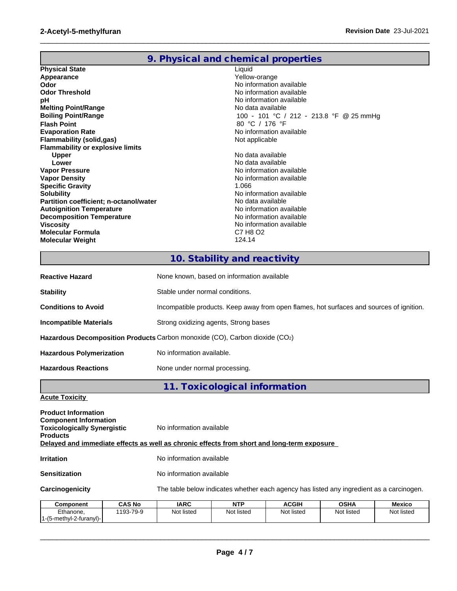# **9. Physical and chemical properties**

 $\_$  ,  $\_$  ,  $\_$  ,  $\_$  ,  $\_$  ,  $\_$  ,  $\_$  ,  $\_$  ,  $\_$  ,  $\_$  ,  $\_$  ,  $\_$  ,  $\_$  ,  $\_$  ,  $\_$  ,  $\_$  ,  $\_$  ,  $\_$  ,  $\_$  ,  $\_$  ,  $\_$  ,  $\_$  ,  $\_$  ,  $\_$  ,  $\_$  ,  $\_$  ,  $\_$  ,  $\_$  ,  $\_$  ,  $\_$  ,  $\_$  ,  $\_$  ,  $\_$  ,  $\_$  ,  $\_$  ,  $\_$  ,  $\_$  ,

| <b>Physical State</b>                         | Liquid                                  |
|-----------------------------------------------|-----------------------------------------|
| Appearance                                    | Yellow-orange                           |
| Odor                                          | No information available                |
| <b>Odor Threshold</b>                         | No information available                |
| рH                                            | No information available                |
| <b>Melting Point/Range</b>                    | No data available                       |
| <b>Boiling Point/Range</b>                    | 100 - 101 °C / 212 - 213.8 °F @ 25 mmHg |
| <b>Flash Point</b>                            | 80 °C / 176 °F                          |
| <b>Evaporation Rate</b>                       | No information available                |
| Flammability (solid,gas)                      | Not applicable                          |
| <b>Flammability or explosive limits</b>       |                                         |
| <b>Upper</b>                                  | No data available                       |
| Lower                                         | No data available                       |
| <b>Vapor Pressure</b>                         | No information available                |
| <b>Vapor Density</b>                          | No information available                |
| <b>Specific Gravity</b>                       | 1.066                                   |
| <b>Solubility</b>                             | No information available                |
| <b>Partition coefficient; n-octanol/water</b> | No data available                       |
| <b>Autoignition Temperature</b>               | No information available                |
| <b>Decomposition Temperature</b>              | No information available                |
| <b>Viscosity</b>                              | No information available                |
| Molecular Formula                             | C7 H8 O2                                |
| <b>Molecular Weight</b>                       | 124.14                                  |
|                                               |                                         |

# **10. Stability and reactivity**

| <b>Reactive Hazard</b>                                                      | None known, based on information available                                               |  |  |  |  |
|-----------------------------------------------------------------------------|------------------------------------------------------------------------------------------|--|--|--|--|
| <b>Stability</b>                                                            | Stable under normal conditions.                                                          |  |  |  |  |
| <b>Conditions to Avoid</b>                                                  | Incompatible products. Keep away from open flames, hot surfaces and sources of ignition. |  |  |  |  |
| <b>Incompatible Materials</b>                                               | Strong oxidizing agents, Strong bases                                                    |  |  |  |  |
| Hazardous Decomposition Products Carbon monoxide (CO), Carbon dioxide (CO2) |                                                                                          |  |  |  |  |
| <b>Hazardous Polymerization</b>                                             | No information available.                                                                |  |  |  |  |
| <b>Hazardous Reactions</b>                                                  | None under normal processing.                                                            |  |  |  |  |

**11. Toxicological information**

**Acute Toxicity**

1-(5-methyl-2-furanyl)-

| <b>Product Information</b><br><b>Component Information</b><br><b>Toxicologically Synergistic</b><br><b>Products</b> |               | No information available |                                                                                          |              |             |            |  |
|---------------------------------------------------------------------------------------------------------------------|---------------|--------------------------|------------------------------------------------------------------------------------------|--------------|-------------|------------|--|
| Delayed and immediate effects as well as chronic effects from short and long-term exposure                          |               |                          |                                                                                          |              |             |            |  |
| <b>Irritation</b>                                                                                                   |               | No information available |                                                                                          |              |             |            |  |
| <b>Sensitization</b>                                                                                                |               | No information available |                                                                                          |              |             |            |  |
| Carcinogenicity                                                                                                     |               |                          | The table below indicates whether each agency has listed any ingredient as a carcinogen. |              |             |            |  |
| Component                                                                                                           | <b>CAS No</b> | <b>IARC</b>              | <b>NTP</b>                                                                               | <b>ACGIH</b> | <b>OSHA</b> | Mexico     |  |
| Ethanone.                                                                                                           | 1193-79-9     | Not listed               | Not listed                                                                               | Not listed   | Not listed  | Not listed |  |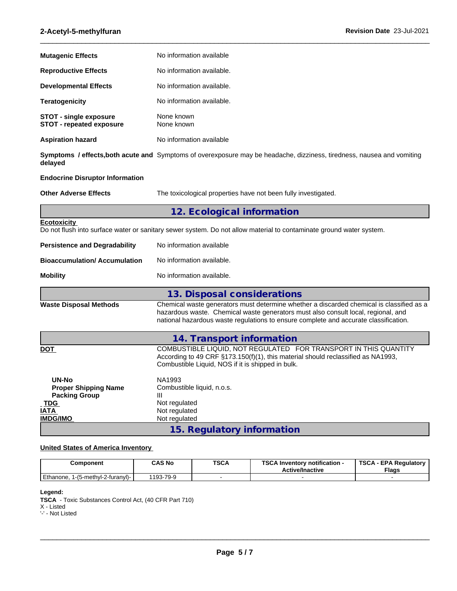| <b>Mutagenic Effects</b>                                                                                            | No information available                                                                                                                                                                                                                                              |  |  |  |  |  |
|---------------------------------------------------------------------------------------------------------------------|-----------------------------------------------------------------------------------------------------------------------------------------------------------------------------------------------------------------------------------------------------------------------|--|--|--|--|--|
| <b>Reproductive Effects</b>                                                                                         | No information available.                                                                                                                                                                                                                                             |  |  |  |  |  |
| <b>Developmental Effects</b>                                                                                        | No information available.                                                                                                                                                                                                                                             |  |  |  |  |  |
| <b>Teratogenicity</b>                                                                                               | No information available.                                                                                                                                                                                                                                             |  |  |  |  |  |
| <b>STOT - single exposure</b><br>STOT - repeated exposure                                                           | None known<br>None known                                                                                                                                                                                                                                              |  |  |  |  |  |
| <b>Aspiration hazard</b>                                                                                            | No information available                                                                                                                                                                                                                                              |  |  |  |  |  |
| delayed                                                                                                             | Symptoms / effects, both acute and Symptoms of overexposure may be headache, dizziness, tiredness, nausea and vomiting                                                                                                                                                |  |  |  |  |  |
| <b>Endocrine Disruptor Information</b>                                                                              |                                                                                                                                                                                                                                                                       |  |  |  |  |  |
| <b>Other Adverse Effects</b>                                                                                        | The toxicological properties have not been fully investigated.                                                                                                                                                                                                        |  |  |  |  |  |
|                                                                                                                     | 12. Ecological information                                                                                                                                                                                                                                            |  |  |  |  |  |
| <b>Ecotoxicity</b>                                                                                                  | Do not flush into surface water or sanitary sewer system. Do not allow material to contaminate ground water system.                                                                                                                                                   |  |  |  |  |  |
| <b>Persistence and Degradability</b>                                                                                | No information available                                                                                                                                                                                                                                              |  |  |  |  |  |
| <b>Bioaccumulation/ Accumulation</b>                                                                                | No information available.                                                                                                                                                                                                                                             |  |  |  |  |  |
| <b>Mobility</b>                                                                                                     | No information available.                                                                                                                                                                                                                                             |  |  |  |  |  |
|                                                                                                                     | 13. Disposal considerations                                                                                                                                                                                                                                           |  |  |  |  |  |
| <b>Waste Disposal Methods</b>                                                                                       | Chemical waste generators must determine whether a discarded chemical is classified as a<br>hazardous waste. Chemical waste generators must also consult local, regional, and<br>national hazardous waste regulations to ensure complete and accurate classification. |  |  |  |  |  |
|                                                                                                                     | 14. Transport information                                                                                                                                                                                                                                             |  |  |  |  |  |
| <b>DOT</b>                                                                                                          | COMBUSTIBLE LIQUID, NOT REGULATED FOR TRANSPORT IN THIS QUANTITY<br>According to 49 CRF §173.150(f)(1), this material should reclassified as NA1993,<br>Combustible Liquid, NOS if it is shipped in bulk.                                                             |  |  |  |  |  |
| <b>UN-No</b><br><b>Proper Shipping Name</b><br><b>Packing Group</b><br><b>TDG</b><br><b>IATA</b><br><b>IMDG/IMO</b> | NA1993<br>Combustible liquid, n.o.s.<br>Ш<br>Not regulated<br>Not regulated<br>Not regulated                                                                                                                                                                          |  |  |  |  |  |
|                                                                                                                     | 15. Regulatory information                                                                                                                                                                                                                                            |  |  |  |  |  |

 $\_$  ,  $\_$  ,  $\_$  ,  $\_$  ,  $\_$  ,  $\_$  ,  $\_$  ,  $\_$  ,  $\_$  ,  $\_$  ,  $\_$  ,  $\_$  ,  $\_$  ,  $\_$  ,  $\_$  ,  $\_$  ,  $\_$  ,  $\_$  ,  $\_$  ,  $\_$  ,  $\_$  ,  $\_$  ,  $\_$  ,  $\_$  ,  $\_$  ,  $\_$  ,  $\_$  ,  $\_$  ,  $\_$  ,  $\_$  ,  $\_$  ,  $\_$  ,  $\_$  ,  $\_$  ,  $\_$  ,  $\_$  ,  $\_$  ,

# **United States of America Inventory**

| Component                            | <b>CAS No</b> | <b>TSCA</b> | TCO A<br>∖ Inventorv notification -<br>ى ت<br><b>Active/Inactive</b> | TSCA<br><b>Flags</b> |
|--------------------------------------|---------------|-------------|----------------------------------------------------------------------|----------------------|
| Ethanone.<br>1-(5-methyl-2-furanyl)- | 193-79-9      |             |                                                                      |                      |

#### **Legend:**

**TSCA** - Toxic Substances Control Act, (40 CFR Part 710)

X - Listed

'-' - Not Listed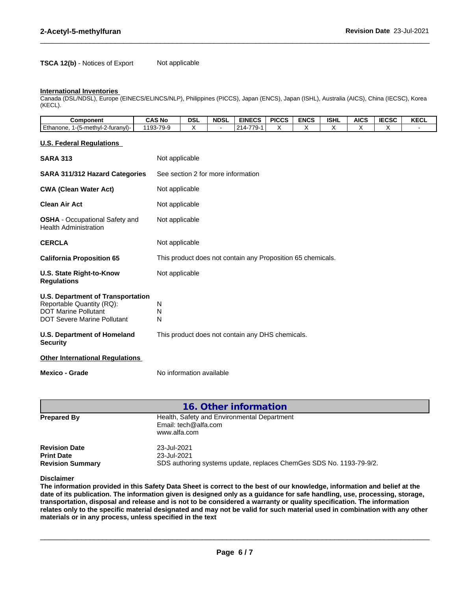## **TSCA 12(b)** - Notices of Export Not applicable

#### **International Inventories**

Canada (DSL/NDSL), Europe (EINECS/ELINCS/NLP), Philippines (PICCS), Japan (ENCS), Japan (ISHL), Australia (AICS), China (IECSC), Korea (KECL).

 $\_$  ,  $\_$  ,  $\_$  ,  $\_$  ,  $\_$  ,  $\_$  ,  $\_$  ,  $\_$  ,  $\_$  ,  $\_$  ,  $\_$  ,  $\_$  ,  $\_$  ,  $\_$  ,  $\_$  ,  $\_$  ,  $\_$  ,  $\_$  ,  $\_$  ,  $\_$  ,  $\_$  ,  $\_$  ,  $\_$  ,  $\_$  ,  $\_$  ,  $\_$  ,  $\_$  ,  $\_$  ,  $\_$  ,  $\_$  ,  $\_$  ,  $\_$  ,  $\_$  ,  $\_$  ,  $\_$  ,  $\_$  ,  $\_$  ,

| <b>Component</b>                                                                        | <b>CAS No</b>                                        | DSI | <b>NDSL</b> | <b>EINECS</b>              | <b>PICCS</b> | <b>ENCS</b> | <b>ISHL</b> | <b>AICS</b> | rrOR<br>IECSC | <b>KECL</b> |
|-----------------------------------------------------------------------------------------|------------------------------------------------------|-----|-------------|----------------------------|--------------|-------------|-------------|-------------|---------------|-------------|
| Ethanone.<br>$\cdots$<br>$\overline{\phantom{0}}$<br>--<br>_1-(5-methvl-∠<br>-turanvI)- | 70 <sub>-</sub> 9<br>103.<br>י כי ד<br>ັບ<br>$\cdot$ |     |             | 77c<br>$\sim$<br>14<br>. . |              |             |             |             |               |             |

#### **U.S. Federal Regulations**

| <b>SARA 313</b>                                                                                                                            | Not applicable                                              |
|--------------------------------------------------------------------------------------------------------------------------------------------|-------------------------------------------------------------|
| SARA 311/312 Hazard Categories                                                                                                             | See section 2 for more information                          |
| <b>CWA (Clean Water Act)</b>                                                                                                               | Not applicable                                              |
| <b>Clean Air Act</b>                                                                                                                       | Not applicable                                              |
| <b>OSHA</b> - Occupational Safety and<br><b>Health Administration</b>                                                                      | Not applicable                                              |
| <b>CERCLA</b>                                                                                                                              | Not applicable                                              |
| <b>California Proposition 65</b>                                                                                                           | This product does not contain any Proposition 65 chemicals. |
| U.S. State Right-to-Know<br><b>Regulations</b>                                                                                             | Not applicable                                              |
| <b>U.S. Department of Transportation</b><br>Reportable Quantity (RQ):<br><b>DOT Marine Pollutant</b><br><b>DOT Severe Marine Pollutant</b> | N<br>N<br>N                                                 |
| <b>U.S. Department of Homeland</b><br><b>Security</b>                                                                                      | This product does not contain any DHS chemicals.            |
| <b>Other International Regulations</b>                                                                                                     |                                                             |
| <b>Mexico - Grade</b>                                                                                                                      | No information available                                    |

| 16. Other information                                                |                                                                                                   |
|----------------------------------------------------------------------|---------------------------------------------------------------------------------------------------|
| <b>Prepared By</b>                                                   | Health, Safety and Environmental Department<br>Email: tech@alfa.com<br>www.alfa.com               |
| <b>Revision Date</b><br><b>Print Date</b><br><b>Revision Summary</b> | 23-Jul-2021<br>23-Jul-2021<br>SDS authoring systems update, replaces ChemGes SDS No. 1193-79-9/2. |

**Disclaimer**

The information provided in this Safety Data Sheet is correct to the best of our knowledge, information and belief at the date of its publication. The information given is designed only as a guidance for safe handling, use, processing, storage, transportation, disposal and release and is not to be considered a warranty or quality specification. The information relates only to the specific material designated and may not be valid for such material used in combination with any other **materials or in any process,unless specified in the text**